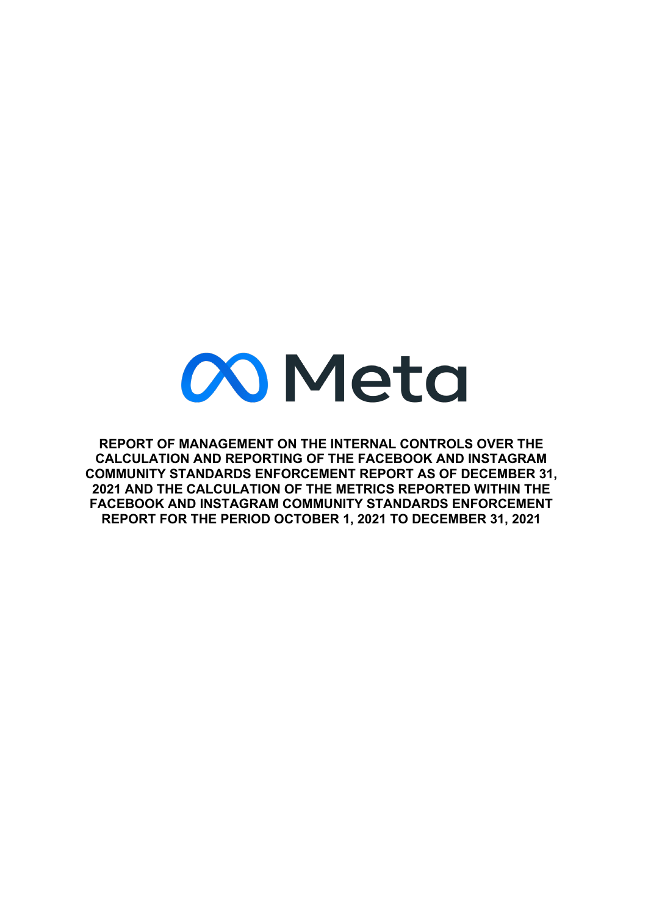# **Meta**

**REPORT OF MANAGEMENT ON THE INTERNAL CONTROLS OVER THE CALCULATION AND REPORTING OF THE FACEBOOK AND INSTAGRAM COMMUNITY STANDARDS ENFORCEMENT REPORT AS OF DECEMBER 31, 2021 AND THE CALCULATION OF THE METRICS REPORTED WITHIN THE FACEBOOK AND INSTAGRAM COMMUNITY STANDARDS ENFORCEMENT REPORT FOR THE PERIOD OCTOBER 1, 2021 TO DECEMBER 31, 2021**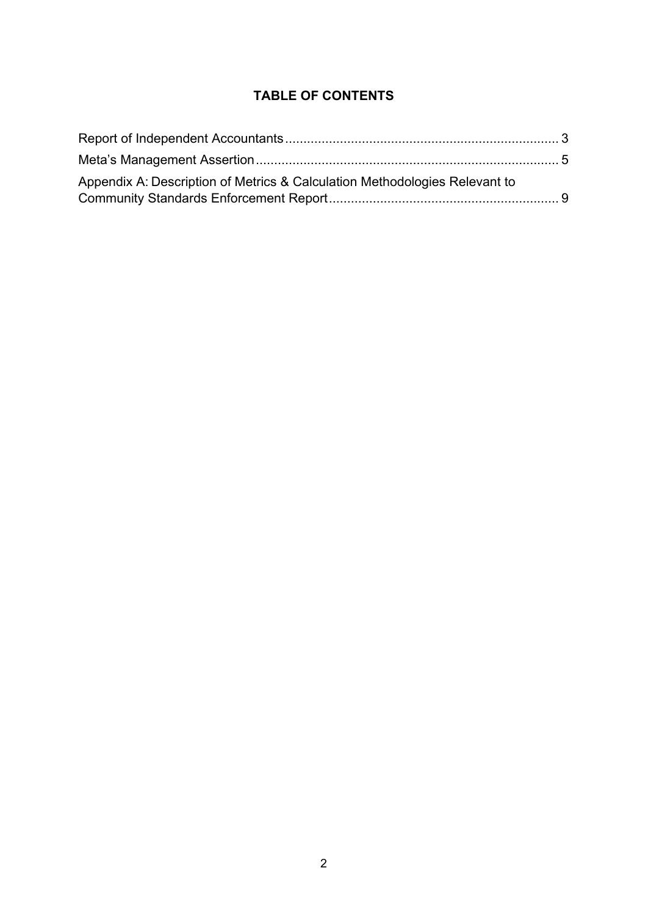### **TABLE OF CONTENTS**

| Appendix A: Description of Metrics & Calculation Methodologies Relevant to |  |
|----------------------------------------------------------------------------|--|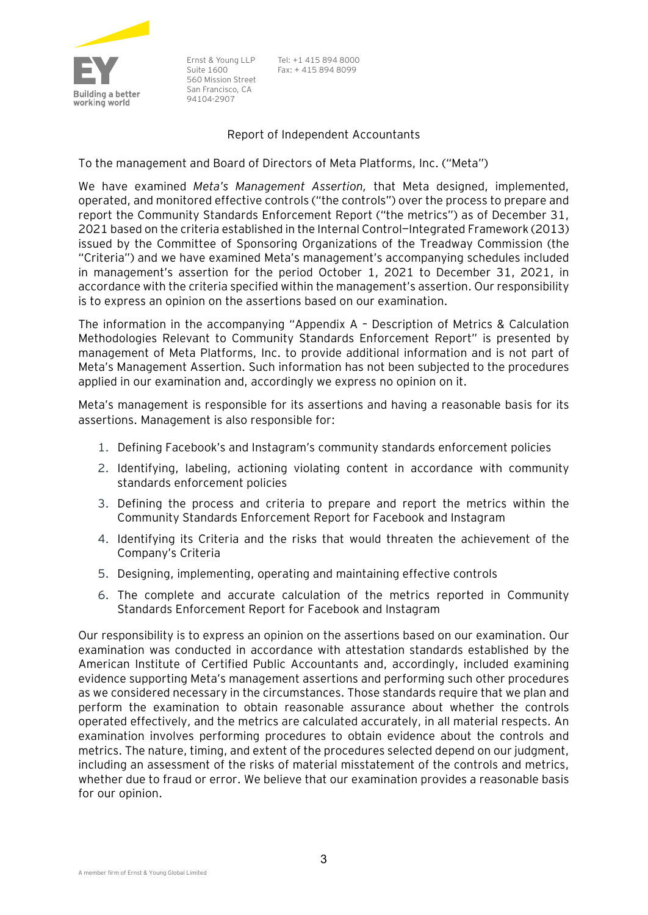

Ernst & Young LLP Suite 1600 560 Mission Street San Francisco, CA 94104-2907

Tel: +1 415 894 8000 Fax: + 415 894 8099

#### Report of Independent Accountants

<span id="page-2-0"></span>To the management and Board of Directors of Meta Platforms, Inc. ("Meta")

We have examined *Meta's Management Assertion,* that Meta designed, implemented, operated, and monitored effective controls ("the controls") over the process to prepare and report the Community Standards Enforcement Report ("the metrics") as of December 31, 2021 based on the criteria established in the Internal Control—Integrated Framework (2013) issued by the Committee of Sponsoring Organizations of the Treadway Commission (the "Criteria") and we have examined Meta's management's accompanying schedules included in management's assertion for the period October 1, 2021 to December 31, 2021, in accordance with the criteria specified within the management's assertion. Our responsibility is to express an opinion on the assertions based on our examination.

The information in the accompanying "Appendix A – Description of Metrics & Calculation Methodologies Relevant to Community Standards Enforcement Report" is presented by management of Meta Platforms, Inc. to provide additional information and is not part of Meta's Management Assertion. Such information has not been subjected to the procedures applied in our examination and, accordingly we express no opinion on it.

Meta's management is responsible for its assertions and having a reasonable basis for its assertions. Management is also responsible for:

- 1. Defining Facebook's and Instagram's [community standards enforcement policies](https://transparency.fb.com/policies/)
- 2. Identifying, labeling, actioning violating content in accordance with community standards enforcement policies
- 3. Defining the process and criteria to prepare and report the metrics within the Community Standards Enforcement Report for Facebook and Instagram
- 4. Identifying its Criteria and the risks that would threaten the achievement of the Company's Criteria
- 5. Designing, implementing, operating and maintaining effective controls
- 6. The complete and accurate calculation of the metrics reported in Community Standards Enforcement Report for Facebook and Instagram

Our responsibility is to express an opinion on the assertions based on our examination. Our examination was conducted in accordance with attestation standards established by the American Institute of Certified Public Accountants and, accordingly, included examining evidence supporting Meta's management assertions and performing such other procedures as we considered necessary in the circumstances. Those standards require that we plan and perform the examination to obtain reasonable assurance about whether the controls operated effectively, and the metrics are calculated accurately, in all material respects. An examination involves performing procedures to obtain evidence about the controls and metrics. The nature, timing, and extent of the procedures selected depend on our judgment, including an assessment of the risks of material misstatement of the controls and metrics, whether due to fraud or error. We believe that our examination provides a reasonable basis for our opinion.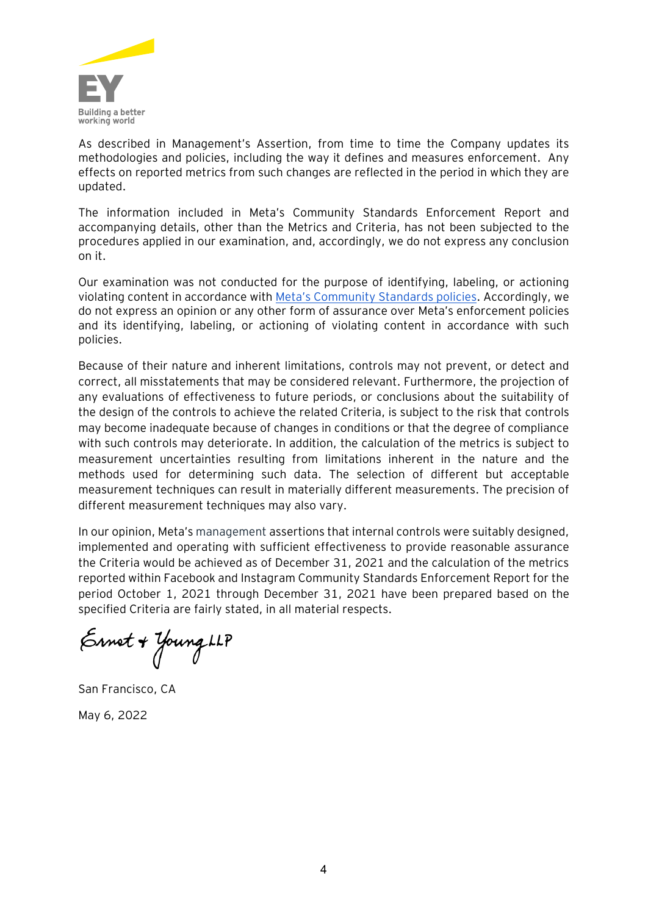

As described in Management's Assertion, from time to time the Company updates its methodologies and policies, including the way it defines and measures enforcement. Any effects on reported metrics from such changes are reflected in the period in which they are updated.

The information included in Meta's Community Standards Enforcement Report and accompanying details, other than the Metrics and Criteria, has not been subjected to the procedures applied in our examination, and, accordingly, we do not express any conclusion on it.

Our examination was not conducted for the purpose of identifying, labeling, or actioning violating content in accordance with [Meta's Community Standards policies.](https://transparency.fb.com/policies/) Accordingly, we do not express an opinion or any other form of assurance over Meta's enforcement policies and its identifying, labeling, or actioning of violating content in accordance with such policies.

Because of their nature and inherent limitations, controls may not prevent, or detect and correct, all misstatements that may be considered relevant. Furthermore, the projection of any evaluations of effectiveness to future periods, or conclusions about the suitability of the design of the controls to achieve the related Criteria, is subject to the risk that controls may become inadequate because of changes in conditions or that the degree of compliance with such controls may deteriorate. In addition, the calculation of the metrics is subject to measurement uncertainties resulting from limitations inherent in the nature and the methods used for determining such data. The selection of different but acceptable measurement techniques can result in materially different measurements. The precision of different measurement techniques may also vary.

In our opinion, Meta's management assertions that internal controls were suitably designed, implemented and operating with sufficient effectiveness to provide reasonable assurance the Criteria would be achieved as of December 31, 2021 and the calculation of the metrics reported within Facebook and Instagram Community Standards Enforcement Report for the period October 1, 2021 through December 31, 2021 have been prepared based on the specified Criteria are fairly stated, in all material respects.

Ernet + Young LLP

<span id="page-3-0"></span>San Francisco, CA May 6, 2022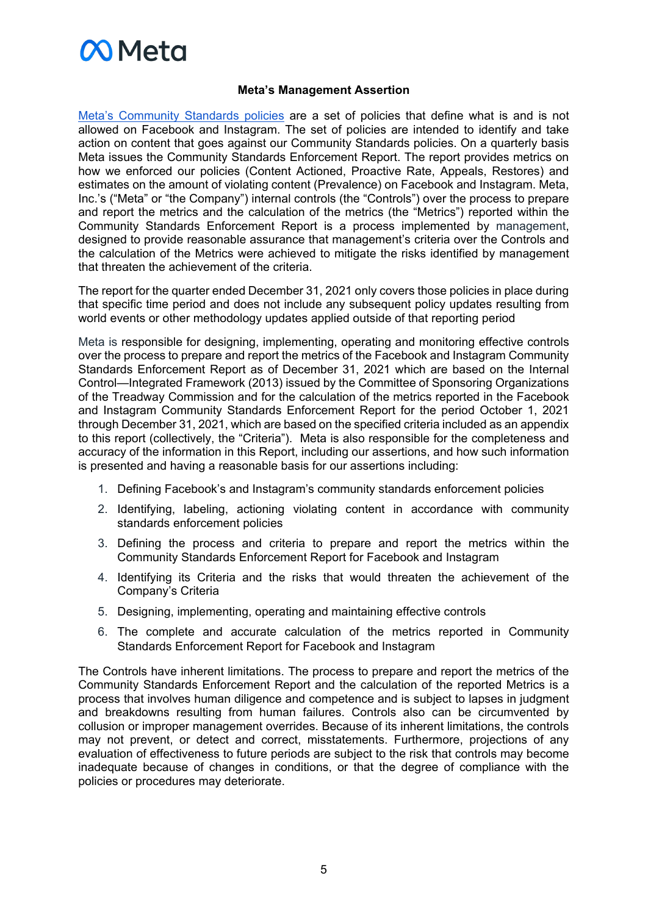# **M** Meta

#### **Meta's Management Assertion**

[Meta's Community Standards](https://transparency.fb.com/policies/) [policies](https://transparency.fb.com/policies/) are a set of policies that define what is and is not allowed on Facebook and Instagram. The set of policies are intended to identify and take action on content that goes against our Community Standards policies. On a quarterly basis Meta issues the Community Standards Enforcement Report. The report provides metrics on how we enforced our policies (Content Actioned, Proactive Rate, Appeals, Restores) and estimates on the amount of violating content (Prevalence) on Facebook and Instagram. Meta, Inc.'s ("Meta" or "the Company") internal controls (the "Controls") over the process to prepare and report the metrics and the calculation of the metrics (the "Metrics") reported within the Community Standards Enforcement Report is a process implemented by management, designed to provide reasonable assurance that management's criteria over the Controls and the calculation of the Metrics were achieved to mitigate the risks identified by management that threaten the achievement of the criteria.

The report for the quarter ended December 31, 2021 only covers those policies in place during that specific time period and does not include any subsequent policy updates resulting from world events or other methodology updates applied outside of that reporting period

Meta is responsible for designing, implementing, operating and monitoring effective controls over the process to prepare and report the metrics of the Facebook and Instagram Community Standards Enforcement Report as of December 31, 2021 which are based on the Internal Control—Integrated Framework (2013) issued by the Committee of Sponsoring Organizations of the Treadway Commission and for the calculation of the metrics reported in the Facebook and Instagram Community Standards Enforcement Report for the period October 1, 2021 through December 31, 2021, which are based on the specified criteria included as an appendix to this report (collectively, the "Criteria"). Meta is also responsible for the completeness and accuracy of the information in this Report, including our assertions, and how such information is presented and having a reasonable basis for our assertions including:

- 1. Defining Facebook's and Instagram's [community standards enforcement policies](https://transparency.fb.com/policies/)
- 2. Identifying, labeling, actioning violating content in accordance with community standards enforcement policies
- 3. Defining the process and criteria to prepare and report the metrics within the Community Standards Enforcement Report for Facebook and Instagram
- 4. Identifying its Criteria and the risks that would threaten the achievement of the Company's Criteria
- 5. Designing, implementing, operating and maintaining effective controls
- 6. The complete and accurate calculation of the metrics reported in Community Standards Enforcement Report for Facebook and Instagram

The Controls have inherent limitations. The process to prepare and report the metrics of the Community Standards Enforcement Report and the calculation of the reported Metrics is a process that involves human diligence and competence and is subject to lapses in judgment and breakdowns resulting from human failures. Controls also can be circumvented by collusion or improper management overrides. Because of its inherent limitations, the controls may not prevent, or detect and correct, misstatements. Furthermore, projections of any evaluation of effectiveness to future periods are subject to the risk that controls may become inadequate because of changes in conditions, or that the degree of compliance with the policies or procedures may deteriorate.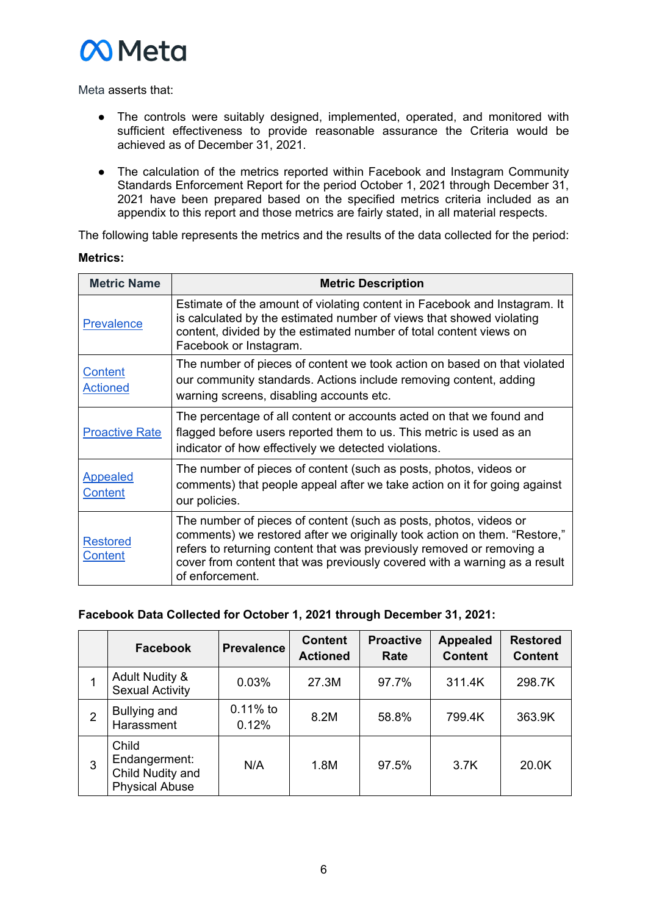

Meta asserts that:

- The controls were suitably designed, implemented, operated, and monitored with sufficient effectiveness to provide reasonable assurance the Criteria would be achieved as of December 31, 2021.
- The calculation of the metrics reported within Facebook and Instagram Community Standards Enforcement Report for the period October 1, 2021 through December 31, 2021 have been prepared based on the specified metrics criteria included as an appendix to this report and those metrics are fairly stated, in all material respects.

The following table represents the metrics and the results of the data collected for the period:

#### **Metrics:**

| <b>Metric Name</b>                | <b>Metric Description</b>                                                                                                                                                                                                                                                                                               |
|-----------------------------------|-------------------------------------------------------------------------------------------------------------------------------------------------------------------------------------------------------------------------------------------------------------------------------------------------------------------------|
| <b>Prevalence</b>                 | Estimate of the amount of violating content in Facebook and Instagram. It<br>is calculated by the estimated number of views that showed violating<br>content, divided by the estimated number of total content views on<br>Facebook or Instagram.                                                                       |
| <b>Content</b><br><u>Actioned</u> | The number of pieces of content we took action on based on that violated<br>our community standards. Actions include removing content, adding<br>warning screens, disabling accounts etc.                                                                                                                               |
| <b>Proactive Rate</b>             | The percentage of all content or accounts acted on that we found and<br>flagged before users reported them to us. This metric is used as an<br>indicator of how effectively we detected violations.                                                                                                                     |
| <b>Appealed</b><br><b>Content</b> | The number of pieces of content (such as posts, photos, videos or<br>comments) that people appeal after we take action on it for going against<br>our policies.                                                                                                                                                         |
| <b>Restored</b><br>Content        | The number of pieces of content (such as posts, photos, videos or<br>comments) we restored after we originally took action on them. "Restore,"<br>refers to returning content that was previously removed or removing a<br>cover from content that was previously covered with a warning as a result<br>of enforcement. |

#### **Facebook Data Collected for October 1, 2021 through December 31, 2021:**

|                | <b>Facebook</b>                                                     | <b>Prevalence</b>   | <b>Content</b><br><b>Actioned</b> | <b>Proactive</b><br>Rate | <b>Appealed</b><br><b>Content</b> | <b>Restored</b><br><b>Content</b> |
|----------------|---------------------------------------------------------------------|---------------------|-----------------------------------|--------------------------|-----------------------------------|-----------------------------------|
|                | <b>Adult Nudity &amp;</b><br><b>Sexual Activity</b>                 | 0.03%               | 27.3M                             | 97.7%                    | 311.4K                            | 298.7K                            |
| $\overline{2}$ | Bullying and<br>Harassment                                          | $0.11%$ to<br>0.12% | 8.2M                              | 58.8%                    | 799.4K                            | 363.9K                            |
| 3              | Child<br>Endangerment:<br>Child Nudity and<br><b>Physical Abuse</b> | N/A                 | 1.8M                              | 97.5%                    | 3.7K                              | 20.0K                             |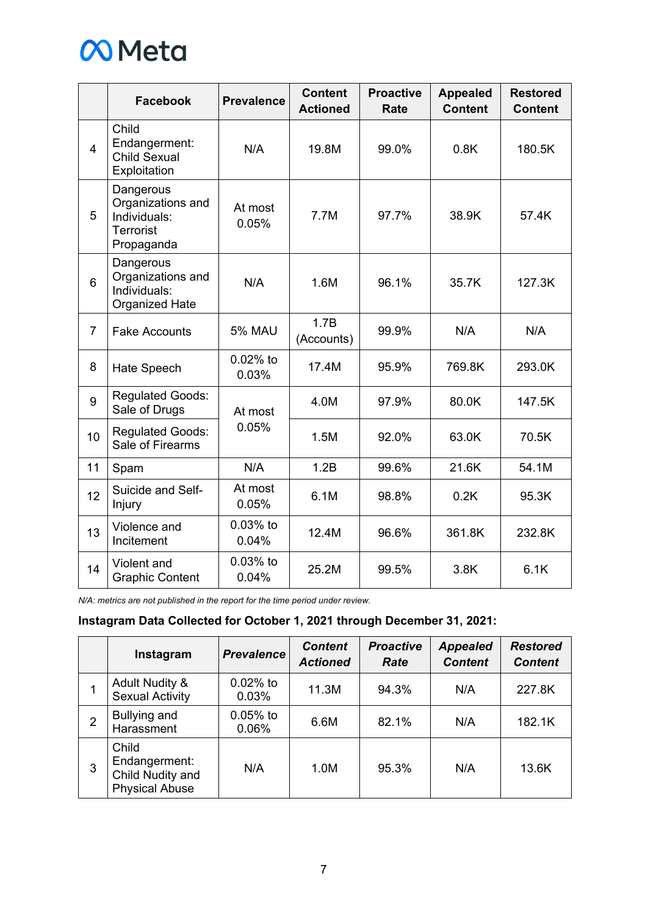

|                | <b>Facebook</b>                                                                  | <b>Prevalence</b>   | <b>Content</b><br><b>Actioned</b> | <b>Proactive</b><br><b>Rate</b> | <b>Appealed</b><br><b>Content</b> | <b>Restored</b><br><b>Content</b> |
|----------------|----------------------------------------------------------------------------------|---------------------|-----------------------------------|---------------------------------|-----------------------------------|-----------------------------------|
| $\overline{4}$ | Child<br>Endangerment:<br><b>Child Sexual</b><br>Exploitation                    | N/A                 | 19.8M                             | 99.0%                           | 0.8K                              | 180.5K                            |
| 5              | Dangerous<br>Organizations and<br>Individuals:<br><b>Terrorist</b><br>Propaganda | At most<br>0.05%    | 7.7M                              | 97.7%                           | 38.9K                             | 57.4K                             |
| 6              | Dangerous<br>Organizations and<br>Individuals:<br><b>Organized Hate</b>          | N/A                 | 1.6M                              | 96.1%                           | 35.7K                             | 127.3K                            |
| $\overline{7}$ | <b>Fake Accounts</b>                                                             | <b>5% MAU</b>       | 1.7B<br>(Accounts)                | 99.9%                           | N/A                               | N/A                               |
| 8              | Hate Speech                                                                      | $0.02%$ to<br>0.03% | 17.4M                             | 95.9%                           | 769.8K                            | 293.0K                            |
| 9              | <b>Regulated Goods:</b><br>Sale of Drugs                                         | At most             | 4.0M                              | 97.9%                           | 80.0K                             | 147.5K                            |
| 10             | <b>Regulated Goods:</b><br>Sale of Firearms                                      | 0.05%               | 1.5M                              | 92.0%                           | 63.0K                             | 70.5K                             |
| 11             | Spam                                                                             | N/A                 | 1.2B                              | 99.6%                           | 21.6K                             | 54.1M                             |
| 12             | Suicide and Self-<br>Injury                                                      | At most<br>0.05%    | 6.1M                              | 98.8%                           | 0.2K                              | 95.3K                             |
| 13             | Violence and<br>Incitement                                                       | $0.03%$ to<br>0.04% | 12.4M                             | 96.6%                           | 361.8K                            | 232.8K                            |
| 14             | Violent and<br><b>Graphic Content</b>                                            | $0.03%$ to<br>0.04% | 25.2M                             | 99.5%                           | 3.8K                              | 6.1K                              |

*N/A: metrics are not published in the report for the time period under review.* 

#### **Instagram Data Collected for October 1, 2021 through December 31, 2021:**

|   | Instagram                                                           | <b>Prevalence</b>   | <b>Content</b><br><b>Actioned</b> | <b>Proactive</b><br>Rate | <b>Appealed</b><br><b>Content</b> | <b>Restored</b><br><b>Content</b> |
|---|---------------------------------------------------------------------|---------------------|-----------------------------------|--------------------------|-----------------------------------|-----------------------------------|
|   | <b>Adult Nudity &amp;</b><br><b>Sexual Activity</b>                 | $0.02%$ to<br>0.03% | 11.3M                             | 94.3%                    | N/A                               | 227.8K                            |
| 2 | Bullying and<br>Harassment                                          | $0.05%$ to<br>0.06% | 6.6M                              | 82.1%                    | N/A                               | 182.1K                            |
| 3 | Child<br>Endangerment:<br>Child Nudity and<br><b>Physical Abuse</b> | N/A                 | 1.0M                              | 95.3%                    | N/A                               | 13.6K                             |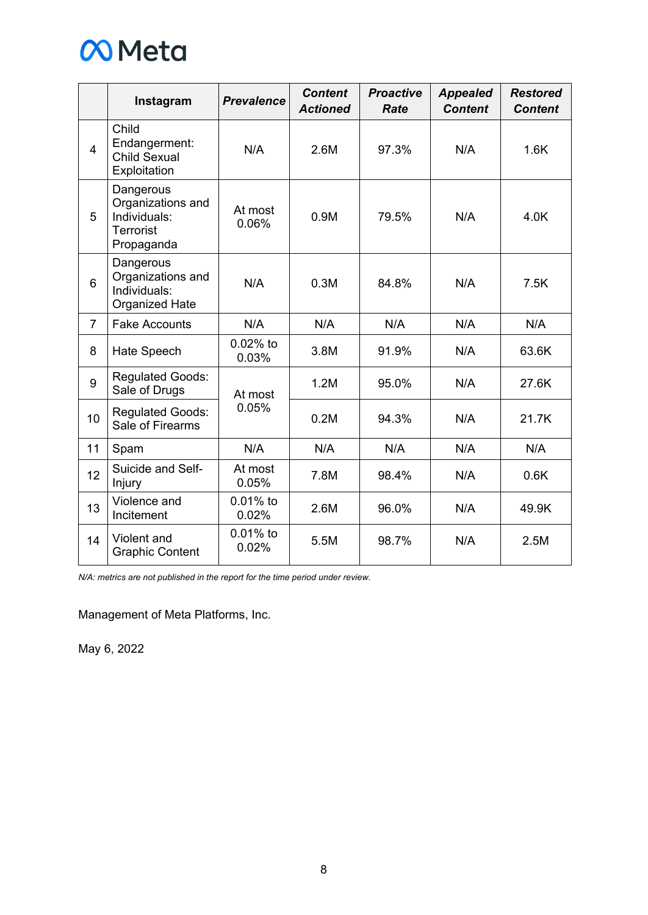

|                | Instagram                                                                        | <b>Prevalence</b>    | <b>Content</b><br><b>Actioned</b> | <b>Proactive</b><br>Rate | <b>Appealed</b><br><b>Content</b> | <b>Restored</b><br><b>Content</b> |
|----------------|----------------------------------------------------------------------------------|----------------------|-----------------------------------|--------------------------|-----------------------------------|-----------------------------------|
| $\overline{4}$ | Child<br>Endangerment:<br><b>Child Sexual</b><br>Exploitation                    | N/A                  | 2.6M                              | 97.3%                    | N/A                               | 1.6K                              |
| 5              | Dangerous<br>Organizations and<br>Individuals:<br><b>Terrorist</b><br>Propaganda | At most<br>0.06%     | 0.9M                              | 79.5%                    | N/A                               | 4.0K                              |
| 6              | Dangerous<br>Organizations and<br>Individuals:<br><b>Organized Hate</b>          | N/A                  | 0.3M                              | 84.8%                    | N/A                               | 7.5K                              |
| $\overline{7}$ | <b>Fake Accounts</b>                                                             | N/A                  | N/A                               | N/A                      | N/A                               | N/A                               |
| 8              | Hate Speech                                                                      | $0.02%$ to<br>0.03%  | 3.8M                              | 91.9%                    | N/A                               | 63.6K                             |
| 9              | <b>Regulated Goods:</b><br>Sale of Drugs                                         | At most              | 1.2M                              | 95.0%                    | N/A                               | 27.6K                             |
| 10             | <b>Regulated Goods:</b><br>Sale of Firearms                                      | 0.05%                | 0.2M                              | 94.3%                    | N/A                               | 21.7K                             |
| 11             | Spam                                                                             | N/A                  | N/A                               | N/A                      | N/A                               | N/A                               |
| 12             | Suicide and Self-<br>Injury                                                      | At most<br>0.05%     | 7.8M                              | 98.4%                    | N/A                               | 0.6K                              |
| 13             | Violence and<br>Incitement                                                       | $0.01\%$ to<br>0.02% | 2.6M                              | 96.0%                    | N/A                               | 49.9K                             |
| 14             | Violent and<br><b>Graphic Content</b>                                            | $0.01%$ to<br>0.02%  | 5.5M                              | 98.7%                    | N/A                               | 2.5M                              |

*N/A: metrics are not published in the report for the time period under review.* 

Management of Meta Platforms, Inc.

May 6, 2022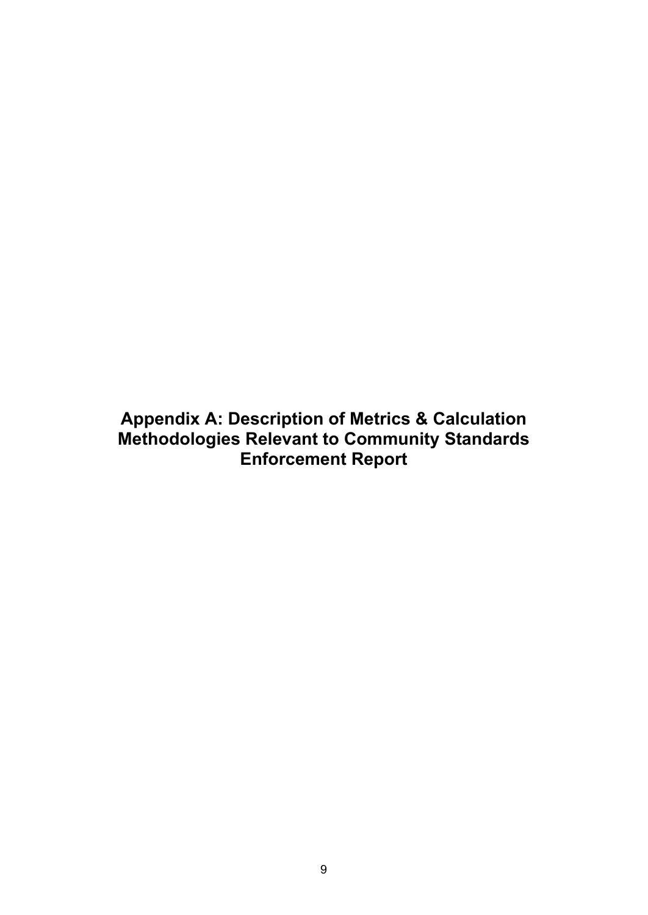<span id="page-8-0"></span>**Appendix A: Description of Metrics & Calculation Methodologies Relevant to Community Standards Enforcement Report**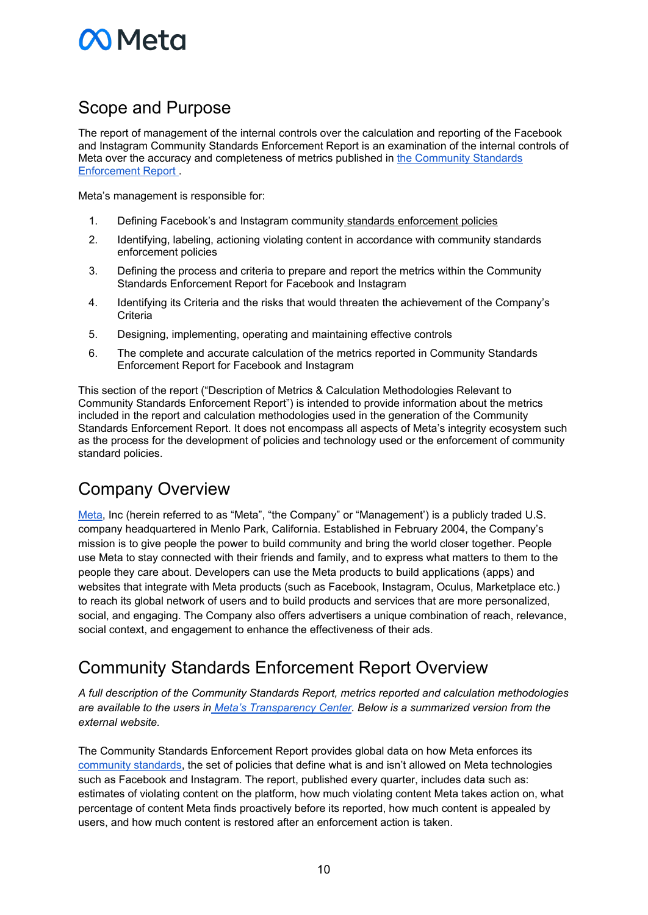# **N** Meta

# Scope and Purpose

The report of management of the internal controls over the calculation and reporting of the Facebook and Instagram Community Standards Enforcement Report is an examination of the internal controls of Meta over the accuracy and completeness of metrics published in [the Community Standards](https://transparency.fb.com/data/community-standards-enforcement/)  [Enforcement Report .](https://transparency.fb.com/data/community-standards-enforcement/)

Meta's management is responsible for:

- 1. Defining Facebook's and Instagram community [standards enforcement policies](https://transparency.fb.com/policies/)
- 2. Identifying, labeling, actioning violating content in accordance with community standards enforcement policies
- 3. Defining the process and criteria to prepare and report the metrics within the Community Standards Enforcement Report for Facebook and Instagram
- 4. Identifying its Criteria and the risks that would threaten the achievement of the Company's **Criteria**
- 5. Designing, implementing, operating and maintaining effective controls
- 6. The complete and accurate calculation of the metrics reported in Community Standards Enforcement Report for Facebook and Instagram

This section of the report ("Description of Metrics & Calculation Methodologies Relevant to Community Standards Enforcement Report") is intended to provide information about the metrics included in the report and calculation methodologies used in the generation of the Community Standards Enforcement Report. It does not encompass all aspects of Meta's integrity ecosystem such as the process for the development of policies and technology used or the enforcement of community standard policies.

# Company Overview

[Meta,](https://about.facebook.com/meta/) Inc (herein referred to as "Meta", "the Company" or "Management') is a publicly traded U.S. company headquartered in Menlo Park, California. Established in February 2004, the Company's mission is to give people the power to build community and bring the world closer together. People use Meta to stay connected with their friends and family, and to express what matters to them to the people they care about. Developers can use the Meta products to build applications (apps) and websites that integrate with Meta products (such as Facebook, Instagram, Oculus, Marketplace etc.) to reach its global network of users and to build products and services that are more personalized, social, and engaging. The Company also offers advertisers a unique combination of reach, relevance, social context, and engagement to enhance the effectiveness of their ads.

# Community Standards Enforcement Report Overview

*A full description of the Community Standards Report, metrics reported and calculation methodologies are available to the users in [Meta's Transparency Center.](https://transparency.fb.com/data/community-standards-enforcement/?source=https%3A%2F%2Ftransparency.facebook.com%2Fcommunity-standards-enforcement%2Fguide) Below is a summarized version from the external website.* 

The Community Standards Enforcement Report provides global data on how Meta enforces its [community standards,](https://transparency.fb.com/policies/) the set of policies that define what is and isn't allowed on Meta technologies such as Facebook and Instagram. The report, published every quarter, includes data such as: estimates of violating content on the platform, how much violating content Meta takes action on, what percentage of content Meta finds proactively before its reported, how much content is appealed by users, and how much content is restored after an enforcement action is taken.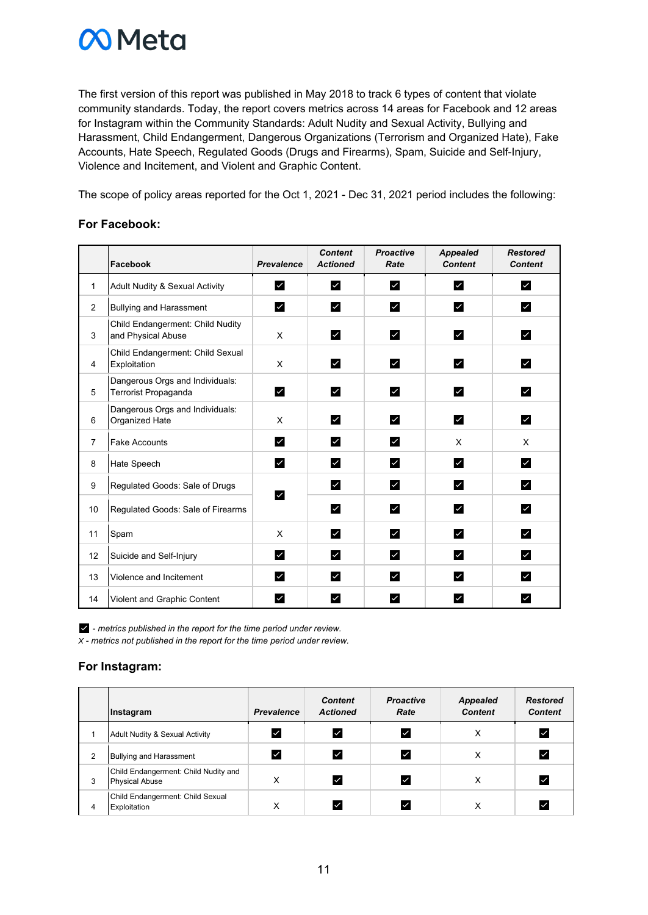

The first version of this report was published in May 2018 to track 6 types of content that violate community standards. Today, the report covers metrics across 14 areas for Facebook and 12 areas for Instagram within the Community Standards: Adult Nudity and Sexual Activity, Bullying and Harassment, Child Endangerment, Dangerous Organizations (Terrorism and Organized Hate), Fake Accounts, Hate Speech, Regulated Goods (Drugs and Firearms), Spam, Suicide and Self-Injury, Violence and Incitement, and Violent and Graphic Content.

The scope of policy areas reported for the Oct 1, 2021 - Dec 31, 2021 period includes the following:

#### **For Facebook:**

|                | <b>Facebook</b>                                         | <b>Prevalence</b> | <b>Content</b><br><b>Actioned</b> | <b>Proactive</b><br>Rate | <b>Appealed</b><br><b>Content</b> | <b>Restored</b><br><b>Content</b> |
|----------------|---------------------------------------------------------|-------------------|-----------------------------------|--------------------------|-----------------------------------|-----------------------------------|
| $\mathbf{1}$   | Adult Nudity & Sexual Activity                          | ☑                 | $\checkmark$                      | ⋁                        | $\checkmark$                      | ✔                                 |
| 2              | <b>Bullying and Harassment</b>                          | ✔                 | $\overline{\mathbf{v}}$           | ✔                        | $\checkmark$                      | ☑                                 |
| 3              | Child Endangerment: Child Nudity<br>and Physical Abuse  | X                 | $\checkmark$                      | ⊻                        | ☑                                 | ☑                                 |
| $\overline{4}$ | Child Endangerment: Child Sexual<br>Exploitation        | X                 | $\checkmark$                      | ⊻                        | ☑                                 | ⊻                                 |
| 5              | Dangerous Orgs and Individuals:<br>Terrorist Propaganda | M                 | ✔                                 | ☑                        | ☑                                 | ☑                                 |
| 6              | Dangerous Orgs and Individuals:<br>Organized Hate       | X                 | $\checkmark$                      | ☑                        | ☑                                 | ⊻                                 |
| $\overline{7}$ | <b>Fake Accounts</b>                                    | ✔                 | ✔                                 | ☑                        | X                                 | X                                 |
| 8              | Hate Speech                                             | ☑                 | $\overline{\mathbf{v}}$           | ☑                        | ☑                                 | ☑                                 |
| 9              | Regulated Goods: Sale of Drugs                          | ☑                 | ✔                                 | ☑                        | ☑                                 | ☑                                 |
| 10             | Regulated Goods: Sale of Firearms                       |                   | $\checkmark$                      | ☑                        | ☑                                 | ⊻                                 |
| 11             | Spam                                                    | X                 | $\checkmark$                      | ☑                        | ☑                                 | ⊻                                 |
| 12             | Suicide and Self-Injury                                 | M                 | $\overline{\mathbf{v}}$           | ✔                        | ☑                                 | $\checkmark$                      |
| 13             | Violence and Incitement                                 | ☑                 | ⊻                                 | ☑                        | ☑                                 | ⊻                                 |
| 14             | Violent and Graphic Content                             | ☑                 | ⊻                                 | $\checkmark$             | $\checkmark$                      | $\checkmark$                      |

 $\blacktriangleright$  - metrics published in the report for the time period under review. *X - metrics not published in the report for the time period under review.* 

#### **For Instagram:**

|   | Instagram                                                     | <b>Prevalence</b> | <b>Content</b><br><b>Actioned</b> | <b>Proactive</b><br>Rate | <b>Appealed</b><br><b>Content</b> | <b>Restored</b><br><b>Content</b> |
|---|---------------------------------------------------------------|-------------------|-----------------------------------|--------------------------|-----------------------------------|-----------------------------------|
|   | Adult Nudity & Sexual Activity                                |                   | ∣✓                                |                          | х                                 |                                   |
| 2 | <b>Bullying and Harassment</b>                                |                   | ∣✓                                |                          | v<br>⋏                            |                                   |
| 3 | Child Endangerment: Child Nudity and<br><b>Physical Abuse</b> | X                 | ∣✓                                | ∣✓                       | х                                 | ⋁                                 |
| 4 | Child Endangerment: Child Sexual<br>Exploitation              | ⋏                 |                                   |                          | ⋏                                 |                                   |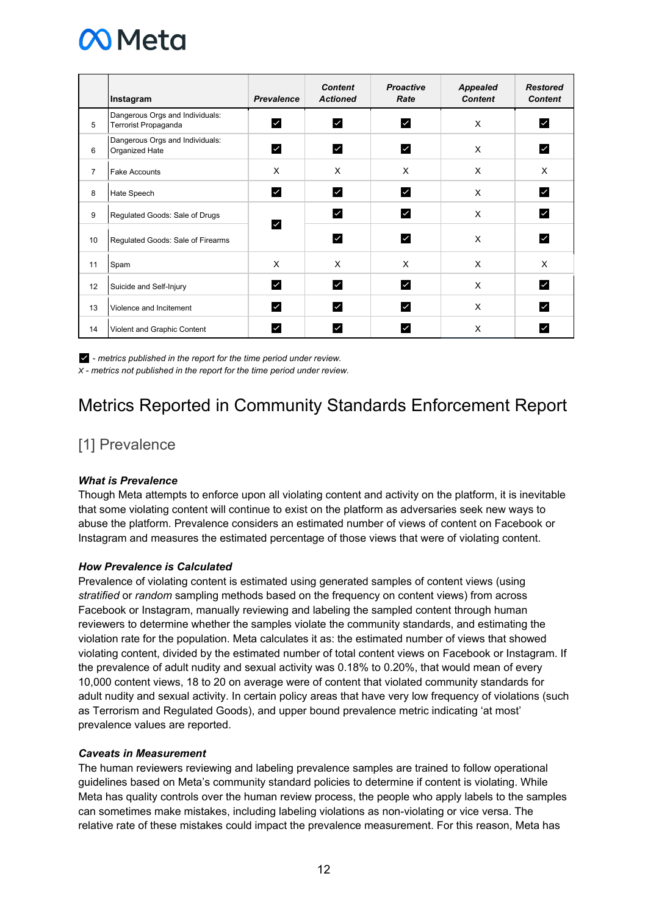

|                | Instagram                                               | <b>Prevalence</b> | <b>Content</b><br><b>Actioned</b> | <b>Proactive</b><br>Rate | <b>Appealed</b><br><b>Content</b> | <b>Restored</b><br><b>Content</b> |
|----------------|---------------------------------------------------------|-------------------|-----------------------------------|--------------------------|-----------------------------------|-----------------------------------|
| 5              | Dangerous Orgs and Individuals:<br>Terrorist Propaganda | $\checkmark$      | ☑                                 | $\checkmark$             | X                                 | M                                 |
| 6              | Dangerous Orgs and Individuals:<br>Organized Hate       | M                 | ☑                                 | ☑                        | X                                 | ∣✓∣                               |
| $\overline{7}$ | <b>Fake Accounts</b>                                    | X                 | X                                 | X                        | X                                 | X                                 |
| 8              | Hate Speech                                             | M                 | M                                 | ☑                        | X                                 | ☑                                 |
| 9              | Regulated Goods: Sale of Drugs                          | $\checkmark$      | ☑                                 | ☑                        | X                                 | ☑                                 |
| 10             | Regulated Goods: Sale of Firearms                       |                   | $\checkmark$                      | $\overline{\mathsf{v}}$  | X                                 | $\checkmark$                      |
| 11             | Spam                                                    | X                 | X                                 | X                        | X                                 | X                                 |
| 12             | Suicide and Self-Injury                                 | M                 | ☑                                 | ☑                        | X                                 | ☑                                 |
| 13             | Violence and Incitement                                 | ☑                 | $\checkmark$                      | ☑                        | X                                 | ☑                                 |
| 14             | Violent and Graphic Content                             | ✓                 | ∨                                 |                          | X                                 |                                   |

 - *metrics published in the report for the time period under review. X - metrics not published in the report for the time period under review.* 

# Metrics Reported in Community Standards Enforcement Report

### [1] Prevalence

#### *What is Prevalence*

Though Meta attempts to enforce upon all violating content and activity on the platform, it is inevitable that some violating content will continue to exist on the platform as adversaries seek new ways to abuse the platform. Prevalence considers an estimated number of views of content on Facebook or Instagram and measures the estimated percentage of those views that were of violating content.

#### *How Prevalence is Calculated*

Prevalence of violating content is estimated using generated samples of content views (using *stratified* or *random* sampling methods based on the frequency on content views) from across Facebook or Instagram, manually reviewing and labeling the sampled content through human reviewers to determine whether the samples violate the community standards, and estimating the violation rate for the population. Meta calculates it as: the estimated number of views that showed violating content, divided by the estimated number of total content views on Facebook or Instagram. If the prevalence of adult nudity and sexual activity was 0.18% to 0.20%, that would mean of every 10,000 content views, 18 to 20 on average were of content that violated community standards for adult nudity and sexual activity. In certain policy areas that have very low frequency of violations (such as Terrorism and Regulated Goods), and upper bound prevalence metric indicating 'at most' prevalence values are reported.

#### *Caveats in Measurement*

The human reviewers reviewing and labeling prevalence samples are trained to follow operational guidelines based on Meta's community standard policies to determine if content is violating. While Meta has quality controls over the human review process, the people who apply labels to the samples can sometimes make mistakes, including labeling violations as non-violating or vice versa. The relative rate of these mistakes could impact the prevalence measurement. For this reason, Meta has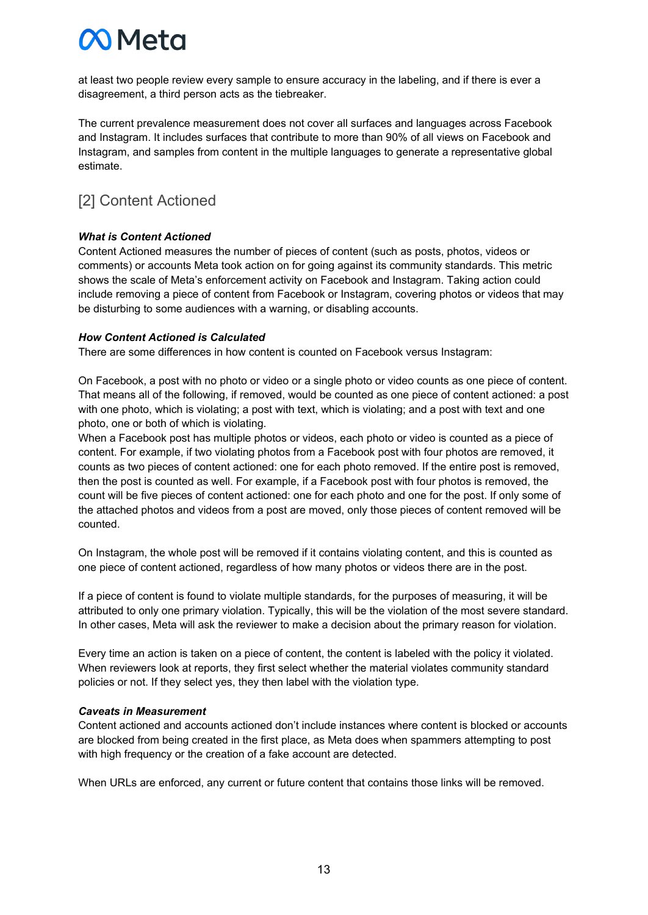# **CO** Meta

at least two people review every sample to ensure accuracy in the labeling, and if there is ever a disagreement, a third person acts as the tiebreaker.

The current prevalence measurement does not cover all surfaces and languages across Facebook and Instagram. It includes surfaces that contribute to more than 90% of all views on Facebook and Instagram, and samples from content in the multiple languages to generate a representative global estimate.

### [2] Content Actioned

#### *What is Content Actioned*

Content Actioned measures the number of pieces of content (such as posts, photos, videos or comments) or accounts Meta took action on for going against its community standards. This metric shows the scale of Meta's enforcement activity on Facebook and Instagram. Taking action could include removing a piece of content from Facebook or Instagram, covering photos or videos that may be disturbing to some audiences with a warning, or disabling accounts.

#### *How Content Actioned is Calculated*

There are some differences in how content is counted on Facebook versus Instagram:

On Facebook, a post with no photo or video or a single photo or video counts as one piece of content. That means all of the following, if removed, would be counted as one piece of content actioned: a post with one photo, which is violating; a post with text, which is violating; and a post with text and one photo, one or both of which is violating.

When a Facebook post has multiple photos or videos, each photo or video is counted as a piece of content. For example, if two violating photos from a Facebook post with four photos are removed, it counts as two pieces of content actioned: one for each photo removed. If the entire post is removed, then the post is counted as well. For example, if a Facebook post with four photos is removed, the count will be five pieces of content actioned: one for each photo and one for the post. If only some of the attached photos and videos from a post are moved, only those pieces of content removed will be counted.

On Instagram, the whole post will be removed if it contains violating content, and this is counted as one piece of content actioned, regardless of how many photos or videos there are in the post.

If a piece of content is found to violate multiple standards, for the purposes of measuring, it will be attributed to only one primary violation. Typically, this will be the violation of the most severe standard. In other cases, Meta will ask the reviewer to make a decision about the primary reason for violation.

Every time an action is taken on a piece of content, the content is labeled with the policy it violated. When reviewers look at reports, they first select whether the material violates community standard policies or not. If they select yes, they then label with the violation type.

#### *Caveats in Measurement*

Content actioned and accounts actioned don't include instances where content is blocked or accounts are blocked from being created in the first place, as Meta does when spammers attempting to post with high frequency or the creation of a fake account are detected.

When URLs are enforced, any current or future content that contains those links will be removed.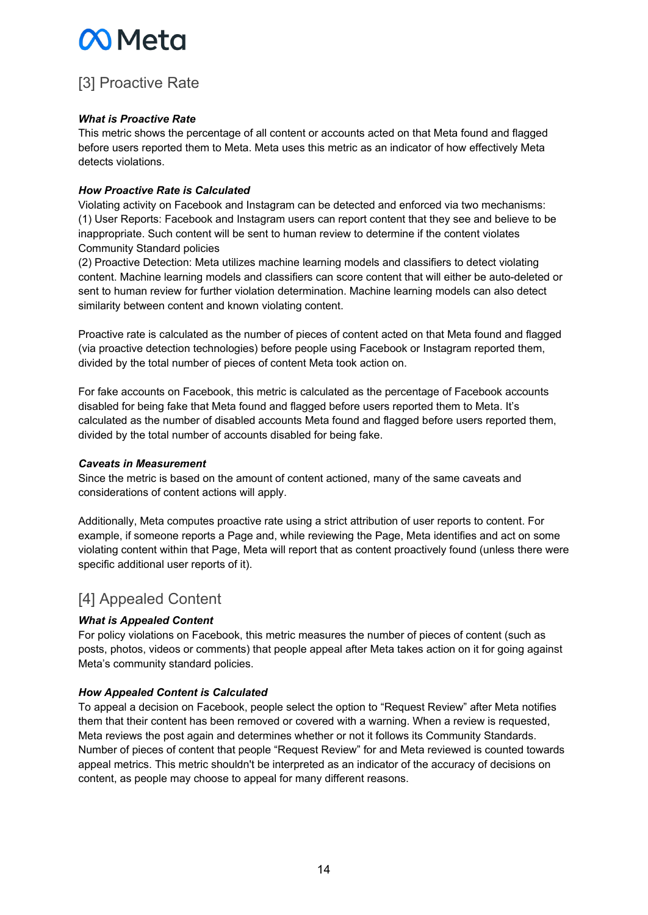# **M** Meta

## [3] Proactive Rate

#### *What is Proactive Rate*

This metric shows the percentage of all content or accounts acted on that Meta found and flagged before users reported them to Meta. Meta uses this metric as an indicator of how effectively Meta detects violations.

#### *How Proactive Rate is Calculated*

Violating activity on Facebook and Instagram can be detected and enforced via two mechanisms: (1) User Reports: Facebook and Instagram users can report content that they see and believe to be inappropriate. Such content will be sent to human review to determine if the content violates Community Standard policies

(2) Proactive Detection: Meta utilizes machine learning models and classifiers to detect violating content. Machine learning models and classifiers can score content that will either be auto-deleted or sent to human review for further violation determination. Machine learning models can also detect similarity between content and known violating content.

Proactive rate is calculated as the number of pieces of content acted on that Meta found and flagged (via proactive detection technologies) before people using Facebook or Instagram reported them, divided by the total number of pieces of content Meta took action on.

For fake accounts on Facebook, this metric is calculated as the percentage of Facebook accounts disabled for being fake that Meta found and flagged before users reported them to Meta. It's calculated as the number of disabled accounts Meta found and flagged before users reported them, divided by the total number of accounts disabled for being fake.

#### *Caveats in Measurement*

Since the metric is based on the amount of content actioned, many of the same caveats and considerations of content actions will apply.

Additionally, Meta computes proactive rate using a strict attribution of user reports to content. For example, if someone reports a Page and, while reviewing the Page, Meta identifies and act on some violating content within that Page, Meta will report that as content proactively found (unless there were specific additional user reports of it).

### [4] Appealed Content

#### *What is Appealed Content*

For policy violations on Facebook, this metric measures the number of pieces of content (such as posts, photos, videos or comments) that people appeal after Meta takes action on it for going against Meta's community standard policies.

#### *How Appealed Content is Calculated*

To appeal a decision on Facebook, people select the option to "Request Review" after Meta notifies them that their content has been removed or covered with a warning. When a review is requested, Meta reviews the post again and determines whether or not it follows its Community Standards. Number of pieces of content that people "Request Review" for and Meta reviewed is counted towards appeal metrics. This metric shouldn't be interpreted as an indicator of the accuracy of decisions on content, as people may choose to appeal for many different reasons.